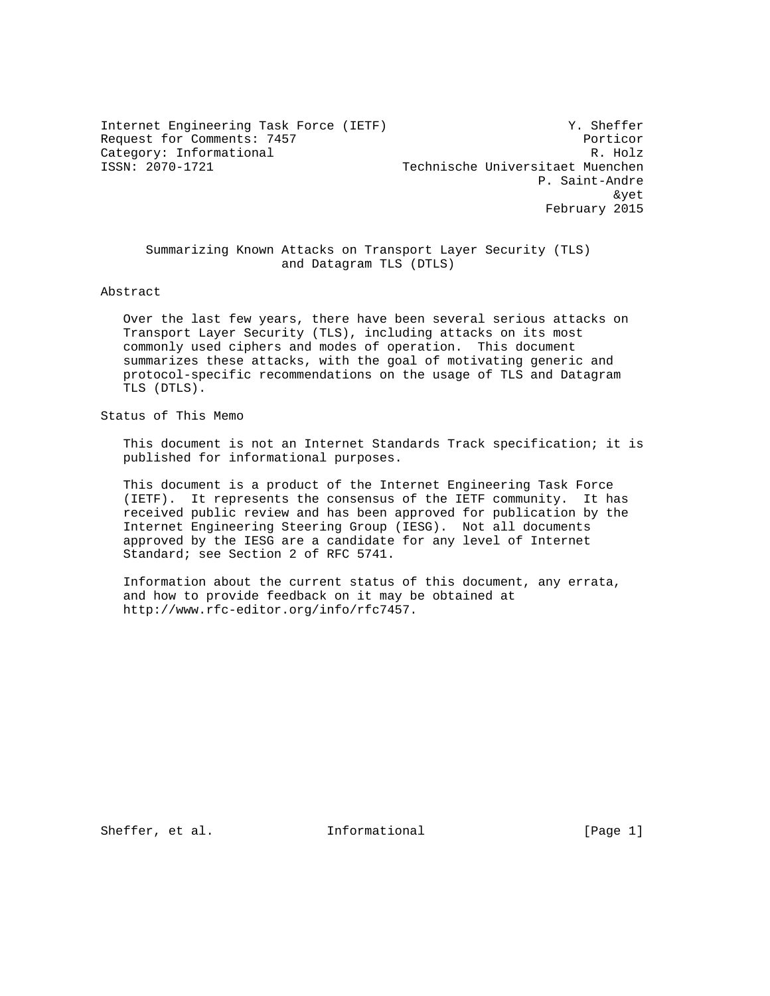Internet Engineering Task Force (IETF) Y. Sheffer Request for Comments: 7457 Porticor Category: Informational R. Holz

Technische Universitaet Muenchen P. Saint-Andre where the contract of the contract of the contract of the contract of the contract of the contract of the contract of the contract of the contract of the contract of the contract of the contract of the contract of the cont February 2015

 Summarizing Known Attacks on Transport Layer Security (TLS) and Datagram TLS (DTLS)

Abstract

 Over the last few years, there have been several serious attacks on Transport Layer Security (TLS), including attacks on its most commonly used ciphers and modes of operation. This document summarizes these attacks, with the goal of motivating generic and protocol-specific recommendations on the usage of TLS and Datagram TLS (DTLS).

Status of This Memo

 This document is not an Internet Standards Track specification; it is published for informational purposes.

 This document is a product of the Internet Engineering Task Force (IETF). It represents the consensus of the IETF community. It has received public review and has been approved for publication by the Internet Engineering Steering Group (IESG). Not all documents approved by the IESG are a candidate for any level of Internet Standard; see Section 2 of RFC 5741.

 Information about the current status of this document, any errata, and how to provide feedback on it may be obtained at http://www.rfc-editor.org/info/rfc7457.

Sheffer, et al. The Informational The Informational (Page 1)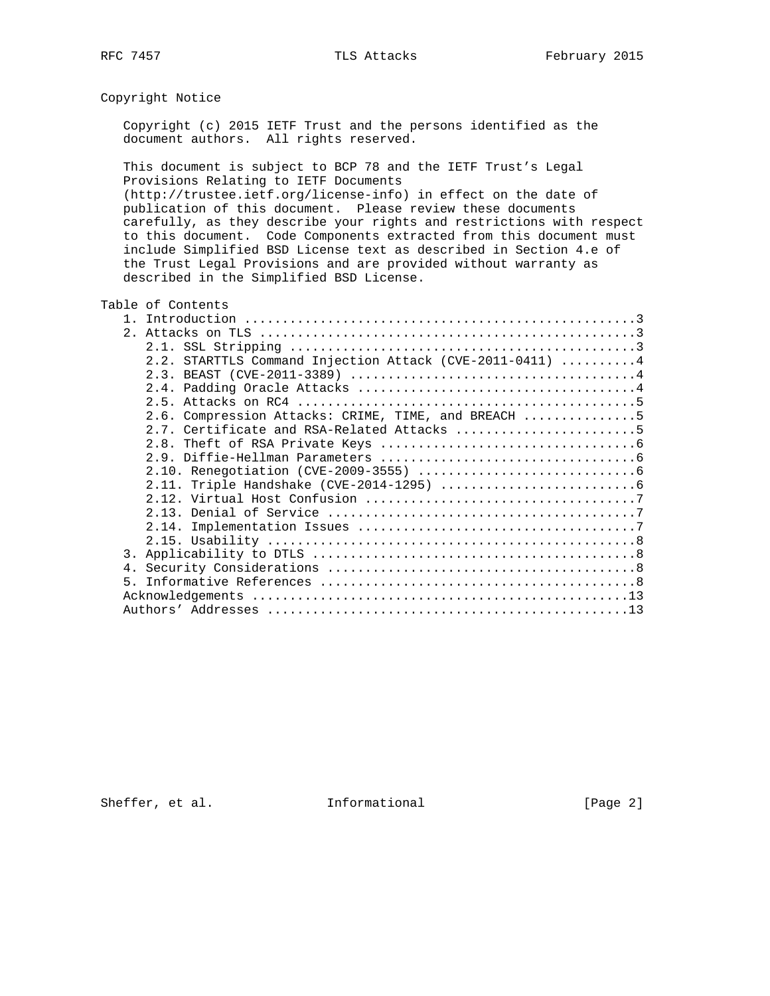# Copyright Notice

 Copyright (c) 2015 IETF Trust and the persons identified as the document authors. All rights reserved.

 This document is subject to BCP 78 and the IETF Trust's Legal Provisions Relating to IETF Documents (http://trustee.ietf.org/license-info) in effect on the date of publication of this document. Please review these documents carefully, as they describe your rights and restrictions with respect to this document. Code Components extracted from this document must include Simplified BSD License text as described in Section 4.e of the Trust Legal Provisions and are provided without warranty as described in the Simplified BSD License.

## Table of Contents

| $2^{\circ}$                                               |
|-----------------------------------------------------------|
|                                                           |
| 2.2. STARTTLS Command Injection Attack (CVE-2011-0411)  4 |
|                                                           |
|                                                           |
|                                                           |
| 2.6. Compression Attacks: CRIME, TIME, and BREACH 5       |
| 2.7. Certificate and RSA-Related Attacks 5                |
|                                                           |
|                                                           |
|                                                           |
|                                                           |
|                                                           |
|                                                           |
|                                                           |
|                                                           |
| 3.                                                        |
|                                                           |
| 5                                                         |
|                                                           |
|                                                           |

Sheffer, et al. 1nformational [Page 2]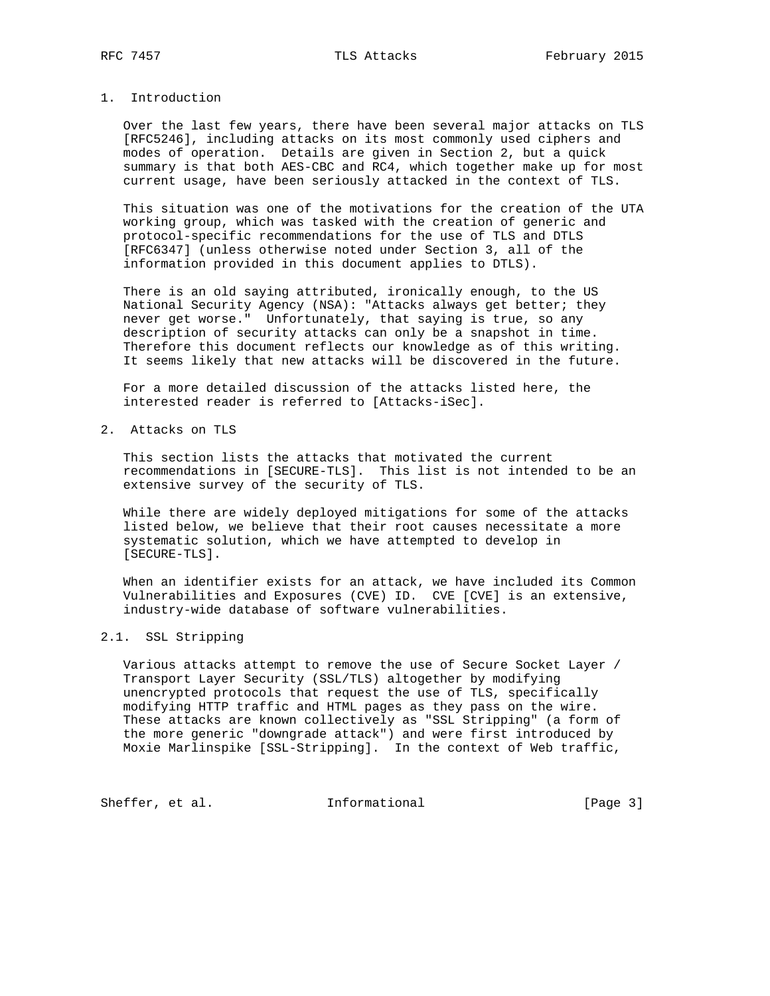## 1. Introduction

 Over the last few years, there have been several major attacks on TLS [RFC5246], including attacks on its most commonly used ciphers and modes of operation. Details are given in Section 2, but a quick summary is that both AES-CBC and RC4, which together make up for most current usage, have been seriously attacked in the context of TLS.

 This situation was one of the motivations for the creation of the UTA working group, which was tasked with the creation of generic and protocol-specific recommendations for the use of TLS and DTLS [RFC6347] (unless otherwise noted under Section 3, all of the information provided in this document applies to DTLS).

 There is an old saying attributed, ironically enough, to the US National Security Agency (NSA): "Attacks always get better; they never get worse." Unfortunately, that saying is true, so any description of security attacks can only be a snapshot in time. Therefore this document reflects our knowledge as of this writing. It seems likely that new attacks will be discovered in the future.

 For a more detailed discussion of the attacks listed here, the interested reader is referred to [Attacks-iSec].

2. Attacks on TLS

 This section lists the attacks that motivated the current recommendations in [SECURE-TLS]. This list is not intended to be an extensive survey of the security of TLS.

 While there are widely deployed mitigations for some of the attacks listed below, we believe that their root causes necessitate a more systematic solution, which we have attempted to develop in [SECURE-TLS].

 When an identifier exists for an attack, we have included its Common Vulnerabilities and Exposures (CVE) ID. CVE [CVE] is an extensive, industry-wide database of software vulnerabilities.

## 2.1. SSL Stripping

 Various attacks attempt to remove the use of Secure Socket Layer / Transport Layer Security (SSL/TLS) altogether by modifying unencrypted protocols that request the use of TLS, specifically modifying HTTP traffic and HTML pages as they pass on the wire. These attacks are known collectively as "SSL Stripping" (a form of the more generic "downgrade attack") and were first introduced by Moxie Marlinspike [SSL-Stripping]. In the context of Web traffic,

Sheffer, et al. 1nformational 1999 [Page 3]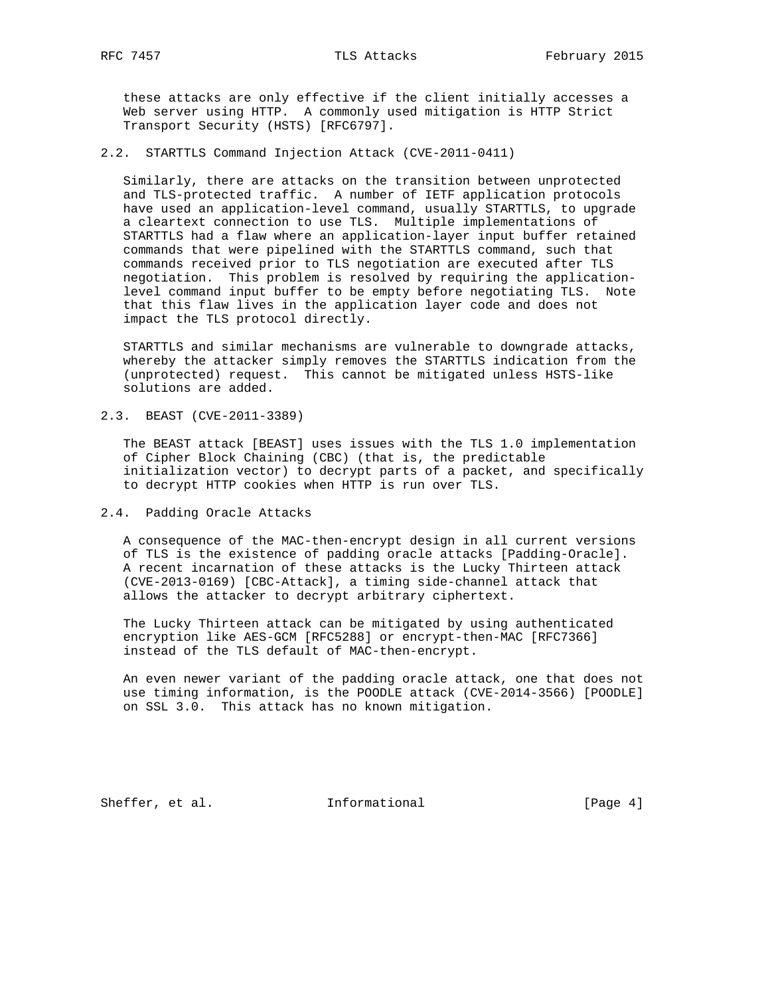these attacks are only effective if the client initially accesses a Web server using HTTP. A commonly used mitigation is HTTP Strict Transport Security (HSTS) [RFC6797].

2.2. STARTTLS Command Injection Attack (CVE-2011-0411)

 Similarly, there are attacks on the transition between unprotected and TLS-protected traffic. A number of IETF application protocols have used an application-level command, usually STARTTLS, to upgrade a cleartext connection to use TLS. Multiple implementations of STARTTLS had a flaw where an application-layer input buffer retained commands that were pipelined with the STARTTLS command, such that commands received prior to TLS negotiation are executed after TLS negotiation. This problem is resolved by requiring the application level command input buffer to be empty before negotiating TLS. Note that this flaw lives in the application layer code and does not impact the TLS protocol directly.

 STARTTLS and similar mechanisms are vulnerable to downgrade attacks, whereby the attacker simply removes the STARTTLS indication from the (unprotected) request. This cannot be mitigated unless HSTS-like solutions are added.

2.3. BEAST (CVE-2011-3389)

 The BEAST attack [BEAST] uses issues with the TLS 1.0 implementation of Cipher Block Chaining (CBC) (that is, the predictable initialization vector) to decrypt parts of a packet, and specifically to decrypt HTTP cookies when HTTP is run over TLS.

2.4. Padding Oracle Attacks

 A consequence of the MAC-then-encrypt design in all current versions of TLS is the existence of padding oracle attacks [Padding-Oracle]. A recent incarnation of these attacks is the Lucky Thirteen attack (CVE-2013-0169) [CBC-Attack], a timing side-channel attack that allows the attacker to decrypt arbitrary ciphertext.

 The Lucky Thirteen attack can be mitigated by using authenticated encryption like AES-GCM [RFC5288] or encrypt-then-MAC [RFC7366] instead of the TLS default of MAC-then-encrypt.

 An even newer variant of the padding oracle attack, one that does not use timing information, is the POODLE attack (CVE-2014-3566) [POODLE] on SSL 3.0. This attack has no known mitigation.

Sheffer, et al. 1nformational [Page 4]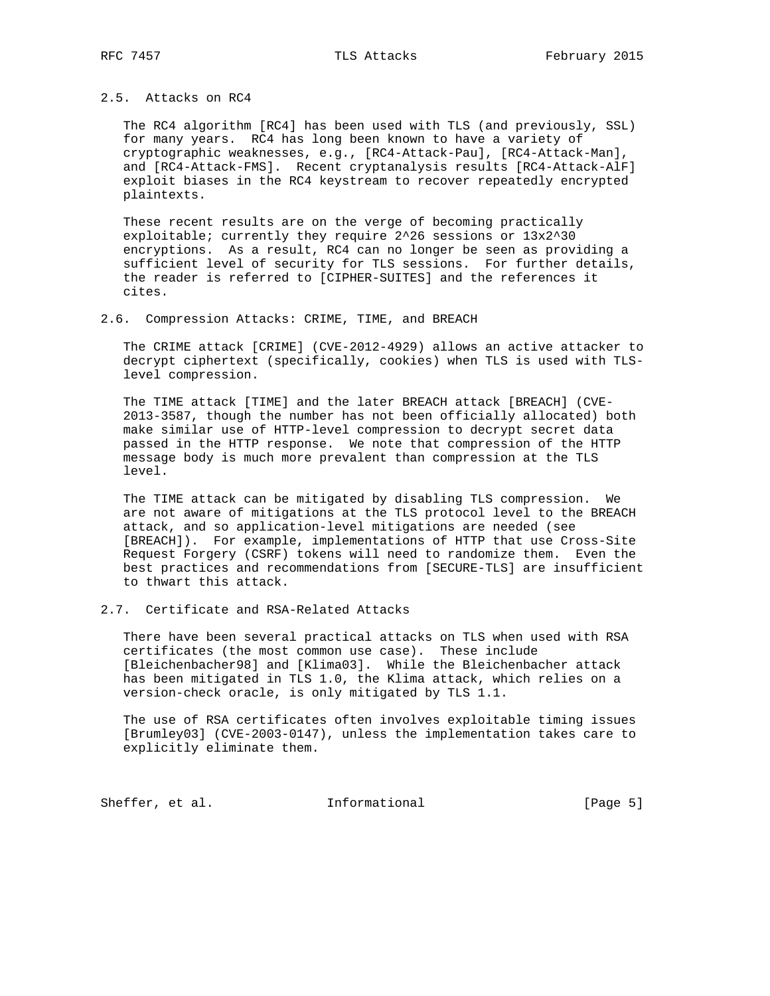## 2.5. Attacks on RC4

 The RC4 algorithm [RC4] has been used with TLS (and previously, SSL) for many years. RC4 has long been known to have a variety of cryptographic weaknesses, e.g., [RC4-Attack-Pau], [RC4-Attack-Man], and [RC4-Attack-FMS]. Recent cryptanalysis results [RC4-Attack-AlF] exploit biases in the RC4 keystream to recover repeatedly encrypted plaintexts.

 These recent results are on the verge of becoming practically exploitable; currently they require 2^26 sessions or 13x2^30 encryptions. As a result, RC4 can no longer be seen as providing a sufficient level of security for TLS sessions. For further details, the reader is referred to [CIPHER-SUITES] and the references it cites.

#### 2.6. Compression Attacks: CRIME, TIME, and BREACH

 The CRIME attack [CRIME] (CVE-2012-4929) allows an active attacker to decrypt ciphertext (specifically, cookies) when TLS is used with TLS level compression.

 The TIME attack [TIME] and the later BREACH attack [BREACH] (CVE- 2013-3587, though the number has not been officially allocated) both make similar use of HTTP-level compression to decrypt secret data passed in the HTTP response. We note that compression of the HTTP message body is much more prevalent than compression at the TLS level.

 The TIME attack can be mitigated by disabling TLS compression. We are not aware of mitigations at the TLS protocol level to the BREACH attack, and so application-level mitigations are needed (see [BREACH]). For example, implementations of HTTP that use Cross-Site Request Forgery (CSRF) tokens will need to randomize them. Even the best practices and recommendations from [SECURE-TLS] are insufficient to thwart this attack.

## 2.7. Certificate and RSA-Related Attacks

 There have been several practical attacks on TLS when used with RSA certificates (the most common use case). These include [Bleichenbacher98] and [Klima03]. While the Bleichenbacher attack has been mitigated in TLS 1.0, the Klima attack, which relies on a version-check oracle, is only mitigated by TLS 1.1.

 The use of RSA certificates often involves exploitable timing issues [Brumley03] (CVE-2003-0147), unless the implementation takes care to explicitly eliminate them.

Sheffer, et al. 1nformational [Page 5]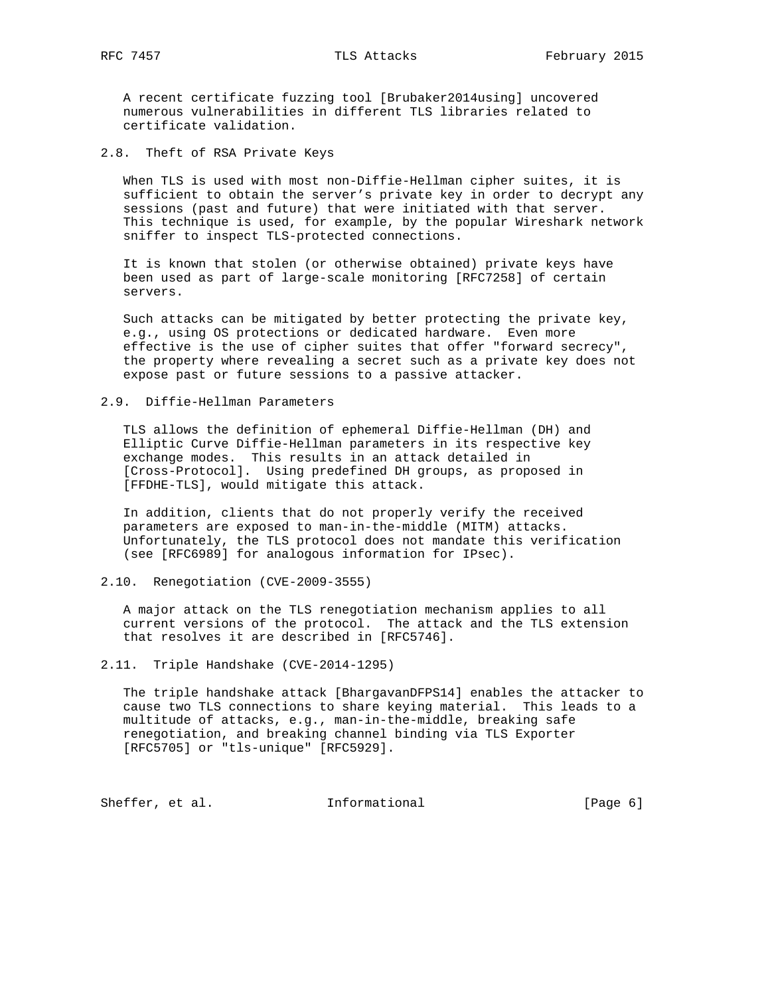A recent certificate fuzzing tool [Brubaker2014using] uncovered numerous vulnerabilities in different TLS libraries related to certificate validation.

2.8. Theft of RSA Private Keys

 When TLS is used with most non-Diffie-Hellman cipher suites, it is sufficient to obtain the server's private key in order to decrypt any sessions (past and future) that were initiated with that server. This technique is used, for example, by the popular Wireshark network sniffer to inspect TLS-protected connections.

 It is known that stolen (or otherwise obtained) private keys have been used as part of large-scale monitoring [RFC7258] of certain servers.

 Such attacks can be mitigated by better protecting the private key, e.g., using OS protections or dedicated hardware. Even more effective is the use of cipher suites that offer "forward secrecy", the property where revealing a secret such as a private key does not expose past or future sessions to a passive attacker.

#### 2.9. Diffie-Hellman Parameters

 TLS allows the definition of ephemeral Diffie-Hellman (DH) and Elliptic Curve Diffie-Hellman parameters in its respective key exchange modes. This results in an attack detailed in [Cross-Protocol]. Using predefined DH groups, as proposed in [FFDHE-TLS], would mitigate this attack.

 In addition, clients that do not properly verify the received parameters are exposed to man-in-the-middle (MITM) attacks. Unfortunately, the TLS protocol does not mandate this verification (see [RFC6989] for analogous information for IPsec).

#### 2.10. Renegotiation (CVE-2009-3555)

 A major attack on the TLS renegotiation mechanism applies to all current versions of the protocol. The attack and the TLS extension that resolves it are described in [RFC5746].

2.11. Triple Handshake (CVE-2014-1295)

 The triple handshake attack [BhargavanDFPS14] enables the attacker to cause two TLS connections to share keying material. This leads to a multitude of attacks, e.g., man-in-the-middle, breaking safe renegotiation, and breaking channel binding via TLS Exporter [RFC5705] or "tls-unique" [RFC5929].

Sheffer, et al. 1nformational [Page 6]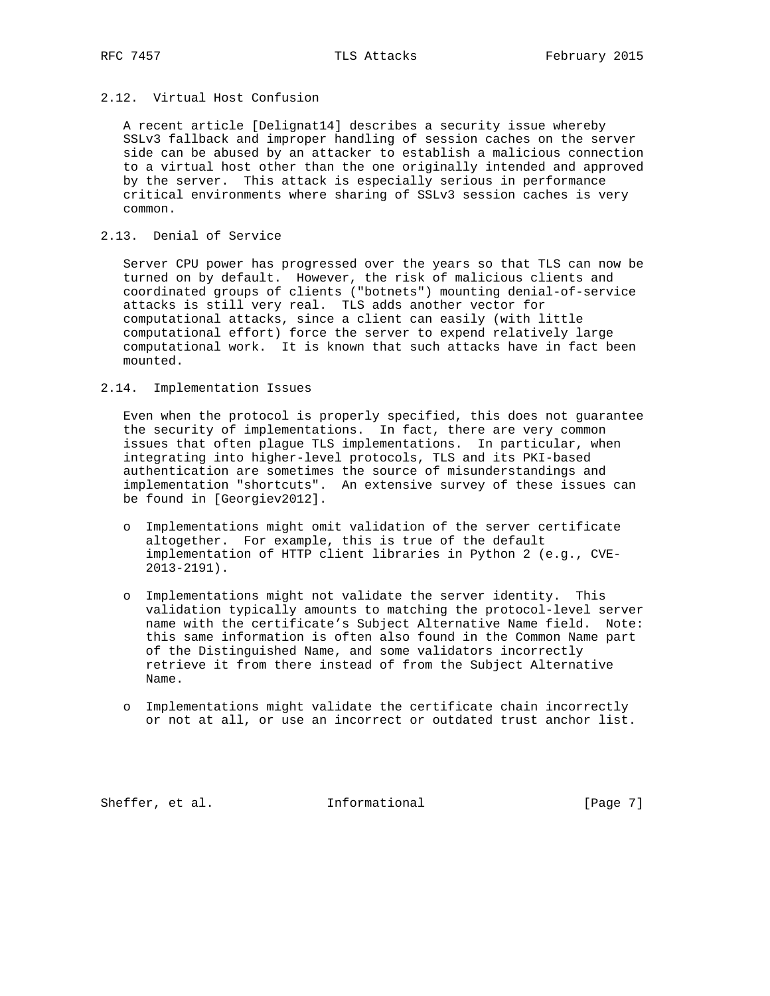# 2.12. Virtual Host Confusion

 A recent article [Delignat14] describes a security issue whereby SSLv3 fallback and improper handling of session caches on the server side can be abused by an attacker to establish a malicious connection to a virtual host other than the one originally intended and approved by the server. This attack is especially serious in performance critical environments where sharing of SSLv3 session caches is very common.

# 2.13. Denial of Service

 Server CPU power has progressed over the years so that TLS can now be turned on by default. However, the risk of malicious clients and coordinated groups of clients ("botnets") mounting denial-of-service attacks is still very real. TLS adds another vector for computational attacks, since a client can easily (with little computational effort) force the server to expend relatively large computational work. It is known that such attacks have in fact been mounted.

#### 2.14. Implementation Issues

 Even when the protocol is properly specified, this does not guarantee the security of implementations. In fact, there are very common issues that often plague TLS implementations. In particular, when integrating into higher-level protocols, TLS and its PKI-based authentication are sometimes the source of misunderstandings and implementation "shortcuts". An extensive survey of these issues can be found in [Georgiev2012].

- o Implementations might omit validation of the server certificate altogether. For example, this is true of the default implementation of HTTP client libraries in Python 2 (e.g., CVE- 2013-2191).
- o Implementations might not validate the server identity. This validation typically amounts to matching the protocol-level server name with the certificate's Subject Alternative Name field. Note: this same information is often also found in the Common Name part of the Distinguished Name, and some validators incorrectly retrieve it from there instead of from the Subject Alternative Name.
- o Implementations might validate the certificate chain incorrectly or not at all, or use an incorrect or outdated trust anchor list.

Sheffer, et al. 1nformational [Page 7]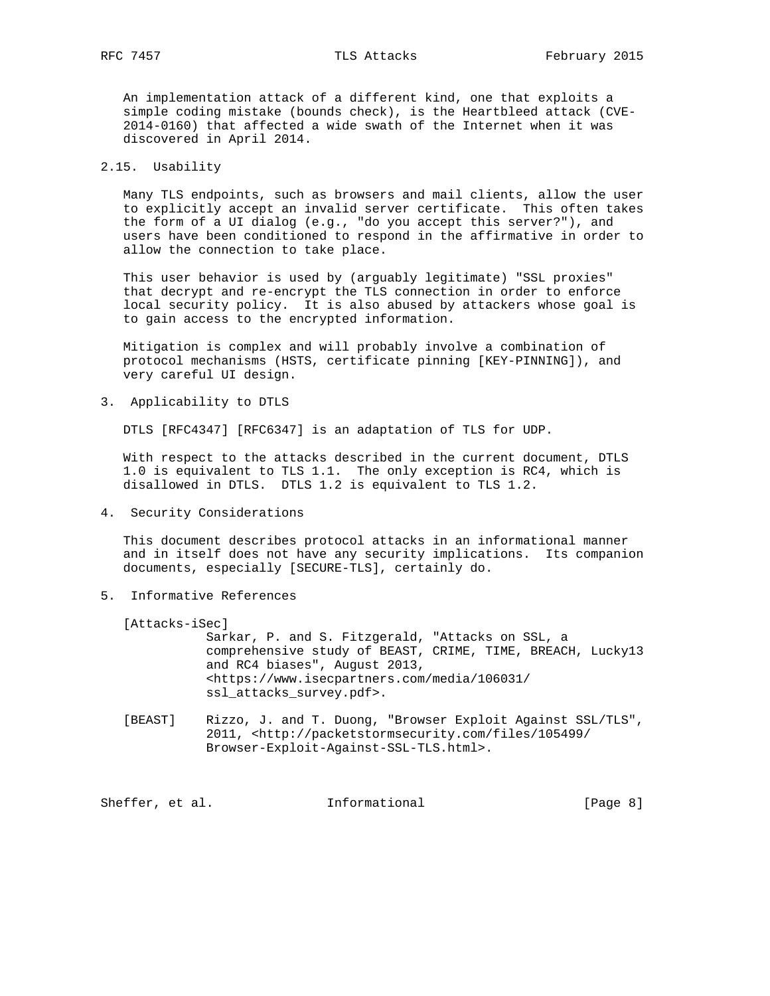An implementation attack of a different kind, one that exploits a simple coding mistake (bounds check), is the Heartbleed attack (CVE- 2014-0160) that affected a wide swath of the Internet when it was discovered in April 2014.

### 2.15. Usability

 Many TLS endpoints, such as browsers and mail clients, allow the user to explicitly accept an invalid server certificate. This often takes the form of a UI dialog (e.g., "do you accept this server?"), and users have been conditioned to respond in the affirmative in order to allow the connection to take place.

 This user behavior is used by (arguably legitimate) "SSL proxies" that decrypt and re-encrypt the TLS connection in order to enforce local security policy. It is also abused by attackers whose goal is to gain access to the encrypted information.

 Mitigation is complex and will probably involve a combination of protocol mechanisms (HSTS, certificate pinning [KEY-PINNING]), and very careful UI design.

3. Applicability to DTLS

DTLS [RFC4347] [RFC6347] is an adaptation of TLS for UDP.

 With respect to the attacks described in the current document, DTLS 1.0 is equivalent to TLS 1.1. The only exception is RC4, which is disallowed in DTLS. DTLS 1.2 is equivalent to TLS 1.2.

4. Security Considerations

 This document describes protocol attacks in an informational manner and in itself does not have any security implications. Its companion documents, especially [SECURE-TLS], certainly do.

5. Informative References

[Attacks-iSec]

 Sarkar, P. and S. Fitzgerald, "Attacks on SSL, a comprehensive study of BEAST, CRIME, TIME, BREACH, Lucky13 and RC4 biases", August 2013, <https://www.isecpartners.com/media/106031/ ssl\_attacks\_survey.pdf>.

 [BEAST] Rizzo, J. and T. Duong, "Browser Exploit Against SSL/TLS", 2011, <http://packetstormsecurity.com/files/105499/ Browser-Exploit-Against-SSL-TLS.html>.

Sheffer, et al. Informational [Page 8]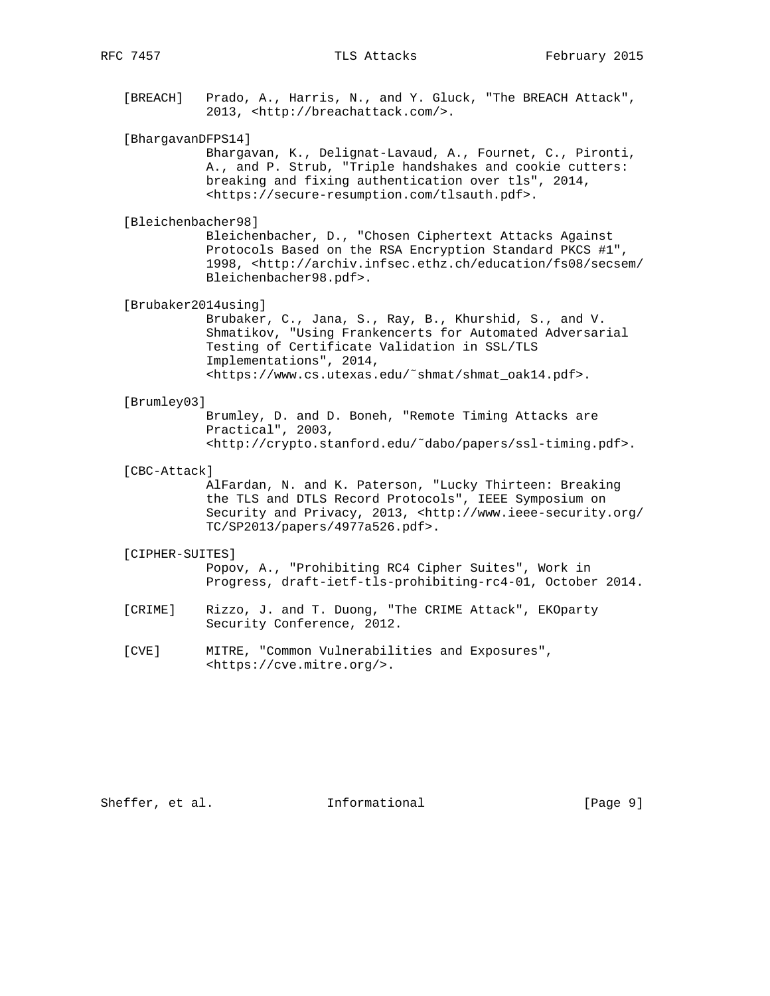[BREACH] Prado, A., Harris, N., and Y. Gluck, "The BREACH Attack", 2013, <http://breachattack.com/>.

# [BhargavanDFPS14]

 Bhargavan, K., Delignat-Lavaud, A., Fournet, C., Pironti, A., and P. Strub, "Triple handshakes and cookie cutters: breaking and fixing authentication over tls", 2014, <https://secure-resumption.com/tlsauth.pdf>.

#### [Bleichenbacher98]

 Bleichenbacher, D., "Chosen Ciphertext Attacks Against Protocols Based on the RSA Encryption Standard PKCS #1", 1998, <http://archiv.infsec.ethz.ch/education/fs08/secsem/ Bleichenbacher98.pdf>.

## [Brubaker2014using]

 Brubaker, C., Jana, S., Ray, B., Khurshid, S., and V. Shmatikov, "Using Frankencerts for Automated Adversarial Testing of Certificate Validation in SSL/TLS Implementations", 2014, <https://www.cs.utexas.edu/˜shmat/shmat\_oak14.pdf>.

#### [Brumley03]

 Brumley, D. and D. Boneh, "Remote Timing Attacks are Practical", 2003, <http://crypto.stanford.edu/˜dabo/papers/ssl-timing.pdf>.

#### [CBC-Attack]

 AlFardan, N. and K. Paterson, "Lucky Thirteen: Breaking the TLS and DTLS Record Protocols", IEEE Symposium on Security and Privacy, 2013, <http://www.ieee-security.org/ TC/SP2013/papers/4977a526.pdf>.

#### [CIPHER-SUITES]

 Popov, A., "Prohibiting RC4 Cipher Suites", Work in Progress, draft-ietf-tls-prohibiting-rc4-01, October 2014.

- [CRIME] Rizzo, J. and T. Duong, "The CRIME Attack", EKOparty Security Conference, 2012.
- [CVE] MITRE, "Common Vulnerabilities and Exposures", <https://cve.mitre.org/>.

Sheffer, et al. 1nformational [Page 9]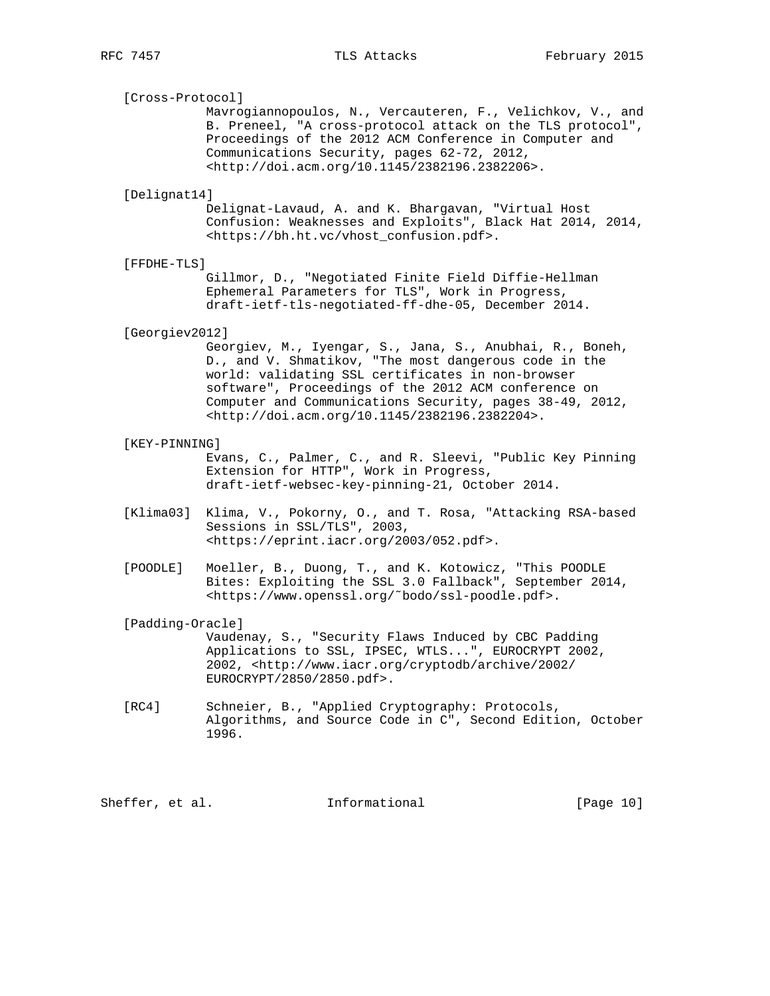[Cross-Protocol]

 Mavrogiannopoulos, N., Vercauteren, F., Velichkov, V., and B. Preneel, "A cross-protocol attack on the TLS protocol", Proceedings of the 2012 ACM Conference in Computer and Communications Security, pages 62-72, 2012, <http://doi.acm.org/10.1145/2382196.2382206>.

#### [Delignat14]

 Delignat-Lavaud, A. and K. Bhargavan, "Virtual Host Confusion: Weaknesses and Exploits", Black Hat 2014, 2014, <https://bh.ht.vc/vhost\_confusion.pdf>.

#### [FFDHE-TLS]

 Gillmor, D., "Negotiated Finite Field Diffie-Hellman Ephemeral Parameters for TLS", Work in Progress, draft-ietf-tls-negotiated-ff-dhe-05, December 2014.

#### [Georgiev2012]

 Georgiev, M., Iyengar, S., Jana, S., Anubhai, R., Boneh, D., and V. Shmatikov, "The most dangerous code in the world: validating SSL certificates in non-browser software", Proceedings of the 2012 ACM conference on Computer and Communications Security, pages 38-49, 2012, <http://doi.acm.org/10.1145/2382196.2382204>.

#### [KEY-PINNING]

 Evans, C., Palmer, C., and R. Sleevi, "Public Key Pinning Extension for HTTP", Work in Progress, draft-ietf-websec-key-pinning-21, October 2014.

- [Klima03] Klima, V., Pokorny, O., and T. Rosa, "Attacking RSA-based Sessions in SSL/TLS", 2003, <https://eprint.iacr.org/2003/052.pdf>.
- [POODLE] Moeller, B., Duong, T., and K. Kotowicz, "This POODLE Bites: Exploiting the SSL 3.0 Fallback", September 2014, <https://www.openssl.org/˜bodo/ssl-poodle.pdf>.

[Padding-Oracle]

 Vaudenay, S., "Security Flaws Induced by CBC Padding Applications to SSL, IPSEC, WTLS...", EUROCRYPT 2002, 2002, <http://www.iacr.org/cryptodb/archive/2002/ EUROCRYPT/2850/2850.pdf>.

 [RC4] Schneier, B., "Applied Cryptography: Protocols, Algorithms, and Source Code in C", Second Edition, October 1996.

Sheffer, et al. 1nformational [Page 10]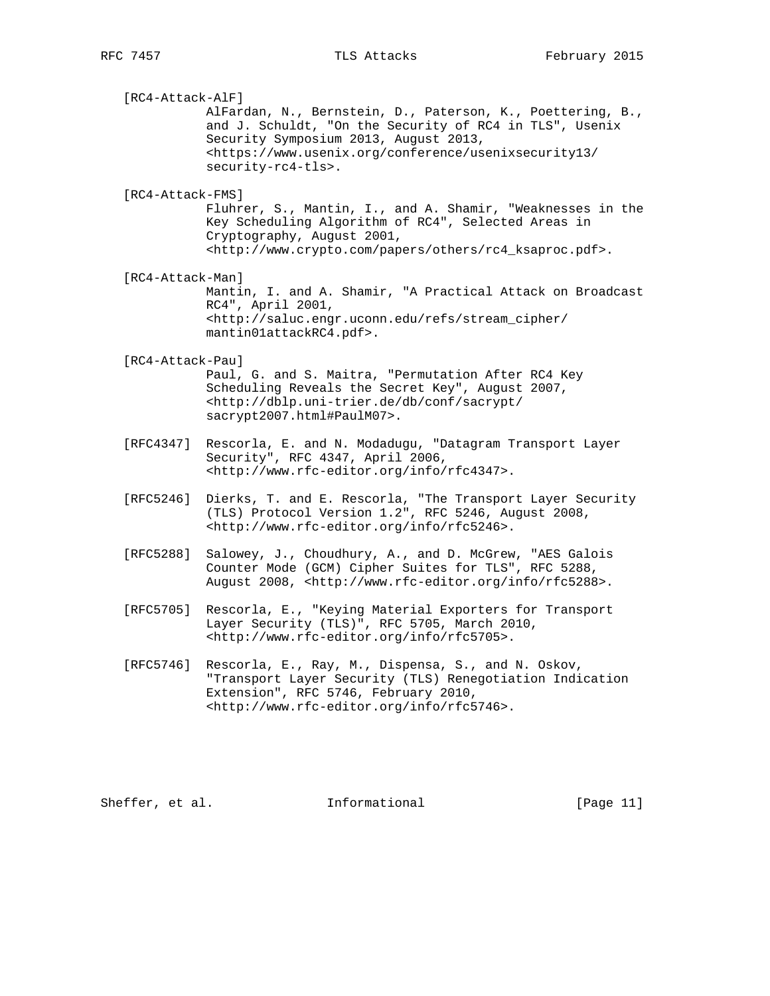[RC4-Attack-AlF] AlFardan, N., Bernstein, D., Paterson, K., Poettering, B., and J. Schuldt, "On the Security of RC4 in TLS", Usenix Security Symposium 2013, August 2013, <https://www.usenix.org/conference/usenixsecurity13/ security-rc4-tls>. [RC4-Attack-FMS] Fluhrer, S., Mantin, I., and A. Shamir, "Weaknesses in the Key Scheduling Algorithm of RC4", Selected Areas in Cryptography, August 2001, <http://www.crypto.com/papers/others/rc4\_ksaproc.pdf>. [RC4-Attack-Man] Mantin, I. and A. Shamir, "A Practical Attack on Broadcast RC4", April 2001, <http://saluc.engr.uconn.edu/refs/stream\_cipher/ mantin01attackRC4.pdf>. [RC4-Attack-Pau] Paul, G. and S. Maitra, "Permutation After RC4 Key Scheduling Reveals the Secret Key", August 2007, <http://dblp.uni-trier.de/db/conf/sacrypt/ sacrypt2007.html#PaulM07>. [RFC4347] Rescorla, E. and N. Modadugu, "Datagram Transport Layer Security", RFC 4347, April 2006, <http://www.rfc-editor.org/info/rfc4347>. [RFC5246] Dierks, T. and E. Rescorla, "The Transport Layer Security (TLS) Protocol Version 1.2", RFC 5246, August 2008, <http://www.rfc-editor.org/info/rfc5246>. [RFC5288] Salowey, J., Choudhury, A., and D. McGrew, "AES Galois Counter Mode (GCM) Cipher Suites for TLS", RFC 5288, August 2008, <http://www.rfc-editor.org/info/rfc5288>. [RFC5705] Rescorla, E., "Keying Material Exporters for Transport Layer Security (TLS)", RFC 5705, March 2010, <http://www.rfc-editor.org/info/rfc5705>.

 [RFC5746] Rescorla, E., Ray, M., Dispensa, S., and N. Oskov, "Transport Layer Security (TLS) Renegotiation Indication Extension", RFC 5746, February 2010, <http://www.rfc-editor.org/info/rfc5746>.

Sheffer, et al. 1nformational [Page 11]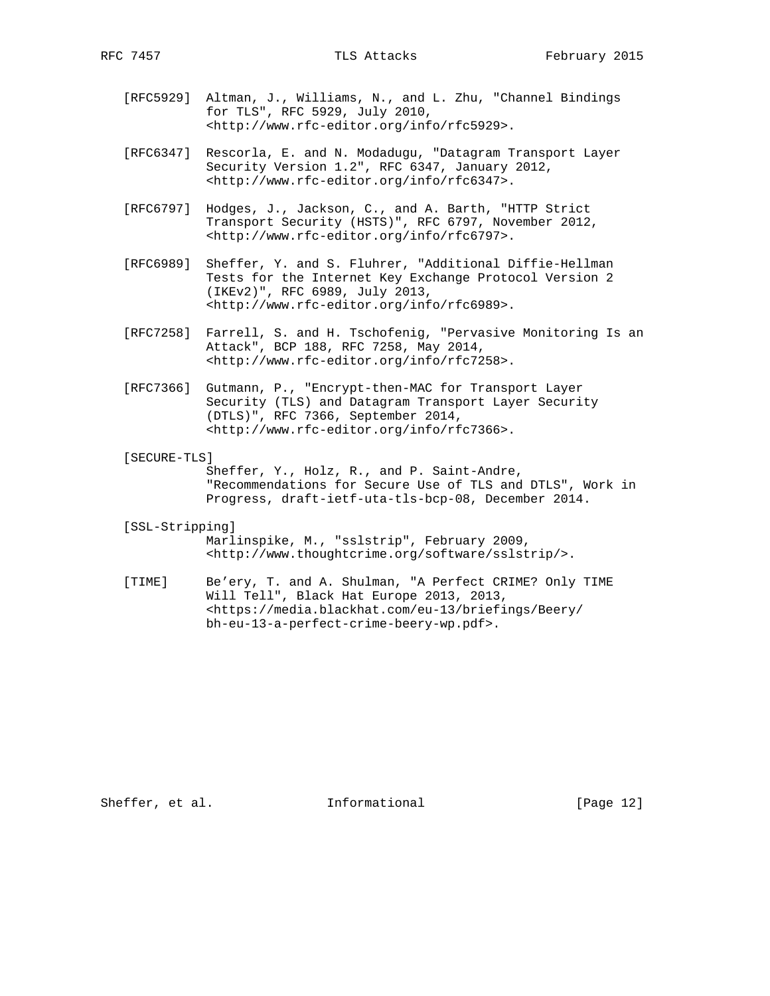- [RFC5929] Altman, J., Williams, N., and L. Zhu, "Channel Bindings for TLS", RFC 5929, July 2010, <http://www.rfc-editor.org/info/rfc5929>.
- [RFC6347] Rescorla, E. and N. Modadugu, "Datagram Transport Layer Security Version 1.2", RFC 6347, January 2012, <http://www.rfc-editor.org/info/rfc6347>.
- [RFC6797] Hodges, J., Jackson, C., and A. Barth, "HTTP Strict Transport Security (HSTS)", RFC 6797, November 2012, <http://www.rfc-editor.org/info/rfc6797>.
- [RFC6989] Sheffer, Y. and S. Fluhrer, "Additional Diffie-Hellman Tests for the Internet Key Exchange Protocol Version 2 (IKEv2)", RFC 6989, July 2013, <http://www.rfc-editor.org/info/rfc6989>.
- [RFC7258] Farrell, S. and H. Tschofenig, "Pervasive Monitoring Is an Attack", BCP 188, RFC 7258, May 2014, <http://www.rfc-editor.org/info/rfc7258>.
- [RFC7366] Gutmann, P., "Encrypt-then-MAC for Transport Layer Security (TLS) and Datagram Transport Layer Security (DTLS)", RFC 7366, September 2014, <http://www.rfc-editor.org/info/rfc7366>.
- [SECURE-TLS]

 Sheffer, Y., Holz, R., and P. Saint-Andre, "Recommendations for Secure Use of TLS and DTLS", Work in Progress, draft-ietf-uta-tls-bcp-08, December 2014.

- [SSL-Stripping] Marlinspike, M., "sslstrip", February 2009, <http://www.thoughtcrime.org/software/sslstrip/>.
- [TIME] Be'ery, T. and A. Shulman, "A Perfect CRIME? Only TIME Will Tell", Black Hat Europe 2013, 2013, <https://media.blackhat.com/eu-13/briefings/Beery/ bh-eu-13-a-perfect-crime-beery-wp.pdf>.

Sheffer, et al. 1nformational [Page 12]